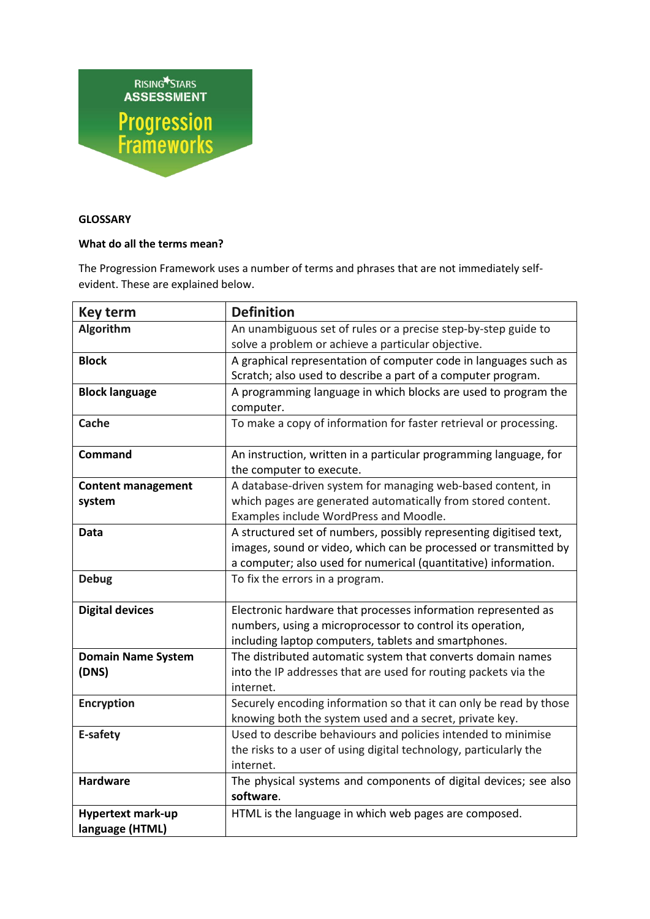

## **GLOSSARY**

## **What do all the terms mean?**

The Progression Framework uses a number of terms and phrases that are not immediately selfevident. These are explained below.

| <b>Key term</b>           | <b>Definition</b>                                                  |
|---------------------------|--------------------------------------------------------------------|
| Algorithm                 | An unambiguous set of rules or a precise step-by-step guide to     |
|                           | solve a problem or achieve a particular objective.                 |
| <b>Block</b>              | A graphical representation of computer code in languages such as   |
|                           | Scratch; also used to describe a part of a computer program.       |
| <b>Block language</b>     | A programming language in which blocks are used to program the     |
|                           | computer.                                                          |
| Cache                     | To make a copy of information for faster retrieval or processing.  |
| <b>Command</b>            | An instruction, written in a particular programming language, for  |
|                           | the computer to execute.                                           |
| <b>Content management</b> | A database-driven system for managing web-based content, in        |
| system                    | which pages are generated automatically from stored content.       |
|                           | Examples include WordPress and Moodle.                             |
| Data                      | A structured set of numbers, possibly representing digitised text, |
|                           | images, sound or video, which can be processed or transmitted by   |
|                           | a computer; also used for numerical (quantitative) information.    |
| <b>Debug</b>              | To fix the errors in a program.                                    |
| <b>Digital devices</b>    | Electronic hardware that processes information represented as      |
|                           | numbers, using a microprocessor to control its operation,          |
|                           | including laptop computers, tablets and smartphones.               |
| <b>Domain Name System</b> | The distributed automatic system that converts domain names        |
| (DNS)                     | into the IP addresses that are used for routing packets via the    |
|                           | internet.                                                          |
| <b>Encryption</b>         | Securely encoding information so that it can only be read by those |
|                           | knowing both the system used and a secret, private key.            |
| E-safety                  | Used to describe behaviours and policies intended to minimise      |
|                           | the risks to a user of using digital technology, particularly the  |
|                           | internet.                                                          |
| <b>Hardware</b>           | The physical systems and components of digital devices; see also   |
|                           | software.                                                          |
| <b>Hypertext mark-up</b>  | HTML is the language in which web pages are composed.              |
| language (HTML)           |                                                                    |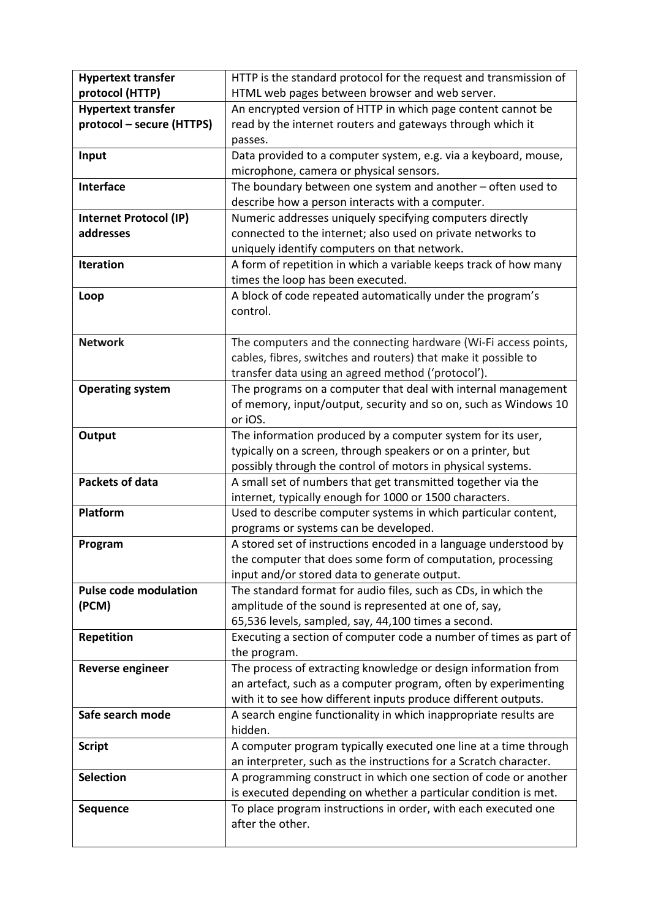| <b>Hypertext transfer</b>     | HTTP is the standard protocol for the request and transmission of |
|-------------------------------|-------------------------------------------------------------------|
| protocol (HTTP)               | HTML web pages between browser and web server.                    |
| <b>Hypertext transfer</b>     | An encrypted version of HTTP in which page content cannot be      |
| protocol - secure (HTTPS)     | read by the internet routers and gateways through which it        |
|                               | passes.                                                           |
| Input                         | Data provided to a computer system, e.g. via a keyboard, mouse,   |
|                               | microphone, camera or physical sensors.                           |
| <b>Interface</b>              | The boundary between one system and another $-$ often used to     |
|                               | describe how a person interacts with a computer.                  |
| <b>Internet Protocol (IP)</b> | Numeric addresses uniquely specifying computers directly          |
| addresses                     | connected to the internet; also used on private networks to       |
|                               | uniquely identify computers on that network.                      |
| <b>Iteration</b>              | A form of repetition in which a variable keeps track of how many  |
|                               | times the loop has been executed.                                 |
| Loop                          | A block of code repeated automatically under the program's        |
|                               | control.                                                          |
|                               |                                                                   |
| <b>Network</b>                | The computers and the connecting hardware (Wi-Fi access points,   |
|                               | cables, fibres, switches and routers) that make it possible to    |
|                               | transfer data using an agreed method ('protocol').                |
| <b>Operating system</b>       | The programs on a computer that deal with internal management     |
|                               | of memory, input/output, security and so on, such as Windows 10   |
|                               | or iOS.                                                           |
| Output                        | The information produced by a computer system for its user,       |
|                               | typically on a screen, through speakers or on a printer, but      |
|                               | possibly through the control of motors in physical systems.       |
| <b>Packets of data</b>        | A small set of numbers that get transmitted together via the      |
|                               | internet, typically enough for 1000 or 1500 characters.           |
| Platform                      | Used to describe computer systems in which particular content,    |
|                               | programs or systems can be developed.                             |
| Program                       | A stored set of instructions encoded in a language understood by  |
|                               | the computer that does some form of computation, processing       |
|                               | input and/or stored data to generate output.                      |
| <b>Pulse code modulation</b>  | The standard format for audio files, such as CDs, in which the    |
| (PCM)                         | amplitude of the sound is represented at one of, say,             |
|                               | 65,536 levels, sampled, say, 44,100 times a second.               |
| <b>Repetition</b>             | Executing a section of computer code a number of times as part of |
|                               | the program.                                                      |
| <b>Reverse engineer</b>       | The process of extracting knowledge or design information from    |
|                               | an artefact, such as a computer program, often by experimenting   |
|                               | with it to see how different inputs produce different outputs.    |
| Safe search mode              | A search engine functionality in which inappropriate results are  |
|                               | hidden.                                                           |
| <b>Script</b>                 | A computer program typically executed one line at a time through  |
|                               | an interpreter, such as the instructions for a Scratch character. |
| <b>Selection</b>              | A programming construct in which one section of code or another   |
|                               | is executed depending on whether a particular condition is met.   |
| <b>Sequence</b>               | To place program instructions in order, with each executed one    |
|                               | after the other.                                                  |
|                               |                                                                   |